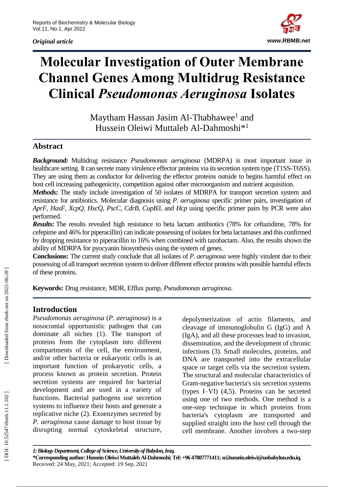*Original article*



# **Molecular Investigation of Outer Membrane Channel Genes Among Multidrug Resistance Clinical** *Pseudomonas Aeruginosa* **Isolates**

Maytham Hassan Jasim Al-Thabhawee<sup>1</sup> and Hussein Oleiwi Muttaleb Al-Dahmoshi<sup>\*1</sup>

#### **Abstract**

*Background:* Multidrug resistance *Pseudomonas aeruginosa* (MDRPA) is most important issue in healthcare setting. It can secrete many virulence effector proteins via its secretion system type (T1SS -T6SS). They are using them as conductor for delivering the effector proteins outside to begins harmful effect on host cell increasing pathogenicity, competition against other microorganism and nutrient acquisition.

*Methods:* The study include investigation of 50 isolates of MDRPA for transport secretion system and resistance for antibiotics. Molecular diagnosis using *P. aeruginosa* specific primer pairs, investigation of *AprF, HasF, XcpQ, HxcQ, PscC, CdrB, CupB3,* and *Hcp* using specific primer pairs by PCR were also performed.

*Results:* The results revealed high resistance to beta lactam antibiotics (78% for ceftazidime, 78% for cefepime and 46% for piperacillin) can indicate possessing of isolates for beta lactamases and this confirmed by dropping resistance to piperacillin to 16% when combined with tazobactam. Also, the results shown the ability of MDRPA for pyocyanin biosynthesis using the system of genes.

**Conclusions:** The current study conclude that all isolates of *P. aeruginosa* were highly virulent due to their possessing of all transport secretion system to deliver different effector proteins with possible harmful effects of these proteins.

**Keywords :** Drug resistance, MDR, Efflux pump, *Pseudomonas aeruginosa* .

# **Introduction**

*Pseudomonas aeruginosa*  (*P. aeruginosa* ) is a nosocomial opportunistic pathogen that can dominate all niches (1). The transport of proteins from the cytoplasm into different compartments of the cell, the environment, and/or other bacteria or eukaryotic cells is an important function of prokaryotic cells, a process known as protein secretion. Protein secretion systems are required for bacterial development and are used in a variety of functions. Bacterial pathogens use secretion systems to influence their hosts and generate a replicative niche ( 2). Exoenzymes secreted by *P. aeruginosa* cause damage to host tissue by disrupting normal cytoskeletal structure,

depolymerization of actin filaments, and cleavage of immunoglobulin G (IgG) and A (IgA), and all these processes lead to invasion, dissemination, and the development of chronic infections (3). Small molecules, proteins, and DNA are transported into the extracellular space or target cells via the secretion system. The structural and molecular characteristics of Gram -negative bacteria's six secretion systems (types I–VI) (4,5). Proteins can be secreted using one of two methods. One method is a one -step technique in which proteins from bacteria's cytoplasm are transported and supplied straight into the host cell through the cell membrane. Another involves a two -step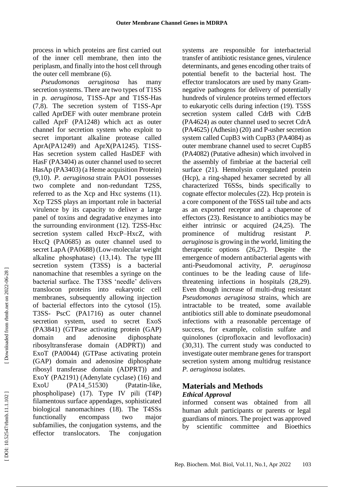process in which proteins are first carried out of the inner cell membrane, then into the periplasm, and finally into the host cell through the outer cell membrane (6).

*Pseudomonas aeruginosa* has many secretion systems. There are two types of T1SS in *p. aeruginosa*, T1SS -Apr and T1SS -Has (7,8). The secretion system of T1SS -Apr called AprDEF with outer membrane protein called AprF (PA1248) which act as outer channel for secretion system who exploit to secret important alkaline protease called AprA(PA1249) and AprX(PA1245). T1SS - Has secretion system called HasDEF with HasF (PA3404) as outer channel used to secret HasAp (PA3403) (a Heme acquisition Protein) (9,10). *P. aeruginosa* strain PAO1 possesses two complete and non -redundant T2SS, referred to as the Xcp and Hxc systems (11). Xcp T2SS plays an important role in bacterial virulence by its capacity to deliver a large panel of toxins and degradative enzymes into the surrounding environment (12). T2SS -Hxc secretion system called HxcP –HxcZ, with HxcQ (PA0685) as outer channel used to secret LapA (PA0688) (Low -molecular weight alkaline phosphatase) (13,14). The type III secretion system (T3SS) is a bacterial nanomachine that resembles a syringe on the bacterial surface. The T3SS 'needle' delivers translocon proteins into eukaryotic cell membranes, subsequently allowing injection of bacterial effectors into the cytosol (15). T3SS - PscC (PA1716) as outer channel secretion system, used to secret ExoS (PA3841) (GTPase activating protein (GAP) domain and adenosine diphosphate ribosyltransferase domain (ADPRT)) and ExoT (PA0044) (GTPase activating protein (GAP) domain and adenosine diphosphate ribosyl transferase domain (ADPRT)) and ExoY (PA2191) (Adenylate cyclase) (16) and  $ExoU$  (PA14\_51530) (Patatin-like, phospholipase) (17). Type IV pili (T4P) filamentous surface appendages, sophisticated biological nanomachines (18). The T4SSs functionally encompass two major subfamilies, the conjugation systems, and the effector translocators. The conjugation

systems are responsible for interbacterial transfer of antibiotic resistance genes, virulence determinants, and genes encoding other traits of potential benefit to the bacterial host. The effector translocators are used by many Gram negative pathogens for delivery of potentially hundreds of virulence proteins termed effectors to eukaryotic cells during infection (19). T5SS secretion system called CdrB with CdrB (PA4624) as outer channel used to secret CdrA (PA4625) (Adhesin) (20) and P -usher secretion system called CupB3 with CupB3 (PA4084) as outer membrane channel used to secret CupB5 (PA4082) (Putative adhesin) which involved in the assembly of fimbriae at the bacterial cell surface (21). Hemolysin coregulated protein (Hcp), a ring -shaped hexamer secreted by all characterized T6SSs, binds specifically to cognate effector molecules (22). Hcp protein is a core component of the T6SS tail tube and acts as an exported receptor and a chaperone of effectors (23). Resistance to antibiotics may be either intrinsic or acquired (24,25). The prominence of multidrug resistant *P. aeruginosa* is growing in the world, limiting the therapeutic options (26,27). Despite the emergence of modern antibacterial agents with anti -Pseudomonal activity, *P. aeruginosa*  continues to be the leading cause of life threatening infections in hospitals (28,29). Even though increase of multi -drug resistant *Pseudomonas aeruginosa* strains, which are intractable to be treated, some available antibiotics still able to dominate pseudomonal infections with a reasonable percentage of success, for example, colistin sulfate and quinolones (ciprofloxacin and levofloxacin) (30,31). The current study was conducted to investigate outer membrane genes for transport secretion system among multidrug resistance *P. aeruginosa* isolates.

#### **Materials and Methods** *Ethical Approval*

informed consent was obtained from all human adult participants or parents or legal guardians of minors. The project was approved by scientific committee and Bioethics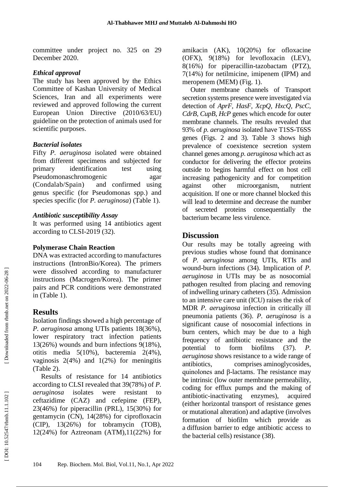committee under project no. 325 on 29 December 2020.

#### *Ethical approval*

The study has been approved by the Ethics Committee of Kashan University of Medical Sciences, Iran and all experiments were reviewed and approved following the current European Union Directive (2010/63/EU) guideline on the protection of animals used for scientific purposes.

#### *Bacterial isolates*

Fifty *P. aeruginosa* isolated were obtained from different specimens and subjected for primary identification test using Pseudomonaschromogenic agar (Condalab/Spain) and confirmed using genus specific (for Pseudomonas spp.) and species specific (for *P. aeruginosa*) (Table 1).

#### *Antibiotic susceptibility Assay*

It was performed using 14 antibiotics agent according to CLSI -2019 (32).

# **Polymerase Chain Reaction**

DNA was extracted according to manufactures instructions (IntronBio/Korea). The primers were dissolved according to manufacturer instructions (Macrogen/Korea). The primer pairs and PCR conditions were demonstrated in (Table 1) .

# **Results**

Isolation findings showed a high percentage of *P. aeruginosa* among UTIs patients 18(36%), lower respiratory tract infection patients 13(26%) wounds and burn infections 9(18%), otitis media 5(10%), bacteremia 2(4%), vaginosis  $2(4\%)$  and  $1(2\%)$  for meningitis (Table 2).

Results of resistance for 14 antibiotics according to CLSI revealed that 39(78%) of *P. aeruginosa* isolates were resistant to ceftazidime (CAZ) and cefepime (FEP), 23(46%) for piperacillin (PRL), 15(30%) for gentamycin (CN), 14(28%) for ciprofloxacin (CIP), 13(26%) for tobramycin (TOB), 12(24%) for Aztreonam (ATM),11(22%) for

amikacin (AK), 10(20%) for ofloxacine (OFX), 9(18%) for levofloxacin (LEV), 8(16%) for piperacillin -tazobactam (PTZ), 7(14%) for netilmicine, imipenem (IPM) and meropenem (MEM) (Fig . 1).

Outer membrane channels of Transport secretion systems presence were investigated via detection of *AprF, HasF, XcpQ, HxcQ, PscC, CdrB, CupB*, *HcP* genes which encode for outer membrane channels. The results revealed that 93% of *p. aeruginosa* isolated have T1SS -T6SS genes ( Figs. 2 and 3). Table 3 show s high prevalence of coexistence secretion system channel genes among *p. aeruginosa* which act as conductor for delivering the effector proteins outside to begins harmful effect on host cell increasing pathogenicity and for competition against other microorganism, nutrient acquisition. If one or more channel blocked this will lead to determine and decrease the number of secreted proteins consequentially the bacterium became less virulence.

# **Discussion**

Our results may be totally agreeing with previous studies whose found that dominance of *P. aeruginosa* among UTIs, RTIs and wound -burn infections (34). Implication of *P. aeruginosa* in UTIs may be as nosocomial pathogen resulted from placing and removing of indwelling urinary catheters (35). Admission to an intensive care unit (ICU) raises the risk of MDR *P. aeruginosa* infection in critically ill pneumonia patients (36). *P. aeruginosa* is a significant cause of nosocomial infections in burn centers, which may be due to a high frequency of antibiotic resistance and the potential to form biofilms (37). *P. aeruginosa* shows resistance to a wide range of antibiotics, comprises [aminoglycosides,](https://www.sciencedirect.com/topics/biochemistry-genetics-and-molecular-biology/aminoglycoside) quinolones and β -lactams. The resistance may be intrinsic (low [outer membrane](https://www.sciencedirect.com/topics/immunology-and-microbiology/outer-membrane) permeability, coding for efflux pumps and the making of antibiotic -inactivating enzymes), acquired (either horizontal transport of resistance genes or mutational alteration) and adaptive (involves f[ormation of bio](https://www.sciencedirect.com/topics/chemical-engineering/diffusion-barrier)film which provide as a diffusion barrier to edge antibiotic access to the [bacterial cells\)](https://www.sciencedirect.com/topics/immunology-and-microbiology/bacterial-cell) resistance (38) .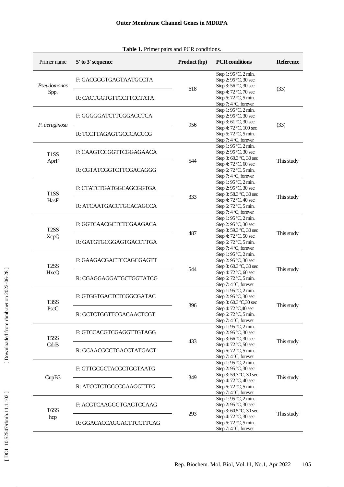| Primer name                      | 5' to 3' sequence        | Product (bp) | <b>PCR</b> conditions                                                     | <b>Reference</b> |
|----------------------------------|--------------------------|--------------|---------------------------------------------------------------------------|------------------|
| Pseudomonas<br>Spp.              | F: GACGGGTGAGTAATGCCTA   | 618          | Step 1: 95 °C, 2 min.<br>Step 2: 95 °C, 30 sec<br>Step 3: 56 °C, 30 sec   | (33)             |
|                                  | R: CACTGGTGTTCCTTCCTATA  |              | Step 4: 72 °C, 70 sec<br>Step 6: 72 °C, 5 min.<br>Step 7: 4 °C, forever   |                  |
| P. aeruginosa                    | F: GGGGGATCTTCGGACCTCA   | 956          | Step 1: 95 °C, 2 min.<br>Step 2: 95 °C, 30 sec<br>Step 3: 61 °C, 30 sec   | (33)             |
|                                  | R: TCCTTAGAGTGCCCACCCG   |              | Step 4: 72 °C, 100 sec<br>Step 6: 72 °C, 5 min.<br>Step 7: 4 °C, forever  |                  |
| T <sub>1</sub> SS<br>AprF        | F: CAAGTCCGGTTCGGAGAACA  | 544          | Step 1: 95 °C, 2 min.<br>Step 2: 95 °C, 30 sec<br>Step 3: 60.3 °C, 30 sec | This study       |
|                                  | R: CGTATCGGTCTTCGACAGGG  |              | Step 4: 72 °C, 60 sec<br>Step 6: 72 °C, 5 min.<br>Step 7: 4 °C, forever   |                  |
| T <sub>1</sub> SS<br>HasF        | F: CTATCTGATGGCAGCGGTGA  | 333          | Step 1: 95 °C, 2 min.<br>Step 2: 95 °C, 30 sec<br>Step 3: 58.3 °C, 30 sec | This study       |
|                                  | R: ATCAATGACCTGCACAGCCA  |              | Step 4: 72 °C, 40 sec<br>Step 6: 72 °C, 5 min.<br>Step 7: 4 °C, forever   |                  |
| T <sub>2</sub> SS<br><b>XcpQ</b> | F: GGTCAACGCTCTCGAAGACA  | 487          | Step 1: 95 °C, 2 min.<br>Step 2: 95 °C, 30 sec<br>Step 3: 59.3 °C, 30 sec | This study       |
|                                  | R: GATGTGCGGAGTGACCTTGA  |              | Step 4: 72 °C, 50 sec<br>Step 6: 72 °C, 5 min.<br>Step 7: 4 °C, forever   |                  |
| T <sub>2</sub> SS<br>HxcQ        | F: GAAGACGACTCCAGCGAGTT  | 544          | Step 1: 95 °C, 2 min.<br>Step 2: 95 °C, 30 sec<br>Step 3: 60.3 °C, 30 sec | This study       |
|                                  | R: CGAGGAGGATGCTGGTATCG  |              | Step 4: 72 °C, 60 sec<br>Step 6: 72 °C, 5 min.<br>Step 7: 4 °C, forever   |                  |
| T3SS<br>P <sub>SC</sub>          | F: GTGGTGACTCTCGGCGATAC  | 396          | Step 1: 95 °C, 2 min.<br>Step 2: 95 °C, 30 sec<br>Step 3: 60.3 °C, 30 sec | This study       |
|                                  | R: GCTCTGGTTCGACAACTCGT  |              | Step 4: 72 °C, 40 sec<br>Step 6: 72 °C, 5 min.<br>Step 7: 4 °C, forever   |                  |
| T5SS<br>CdrB                     | F: GTCCACGTCGAGGTTGTAGG  | 433          | Step 1: 95 °C, 2 min.<br>Step 2: 95 °C, 30 sec<br>Step 3: 66 °C, 30 sec   | This study       |
|                                  | R: GCAACGCCTGACCTATGACT  |              | Step 4: 72 °C, 50 sec<br>Step 6: 72 °C, 5 min.<br>Step 7: 4 °C, forever   |                  |
| CupB3                            | F: GTTGCGCTACGCTGGTAATG  | 349          | Step 1: 95 °C, 2 min.<br>Step 2: 95 °C, 30 sec<br>Step 3: 59.3 °C, 30 sec | This study       |
|                                  | R: ATCCTCTGCCCGAAGGTTTG  |              | Step 4: 72 °C, 40 sec<br>Step 6: 72 °C, 5 min.<br>Step 7: 4 °C, forever   |                  |
| T6SS<br>hcp                      | F: ACGTCAAGGGTGAGTCCAAG  | 293          | Step 1: 95 °C, 2 min.<br>Step 2: 95 °C, 30 sec<br>Step 3: 60.5 °C, 30 sec | This study       |
|                                  | R: GGACACCAGGACTTCCTTCAG |              | Step 4: 72 °C, 30 sec<br>Step 6: 72 °C, 5 min.<br>Step 7: 4 °C, forever   |                  |

**Table 1.** Primer pairs and PCR conditions.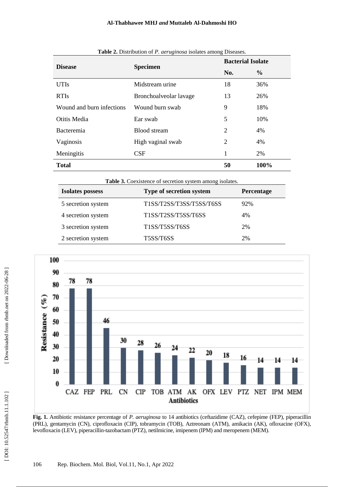#### **Al -Thabhawee MHJ** *and* **Muttaleb A l -Dahmoshi HO**

|                           | $\mathbf{C}$<br><b>Specimen</b> |                | <b>Bacterial Isolate</b> |  |
|---------------------------|---------------------------------|----------------|--------------------------|--|
| <b>Disease</b>            |                                 | No.            | $\frac{0}{0}$            |  |
| <b>UTIs</b>               | Midstream urine                 | 18             | 36%                      |  |
| <b>RTIs</b>               | Bronchoalveolar lavage          | 13             | 26%                      |  |
| Wound and burn infections | Wound burn swab                 | 9              | 18%                      |  |
| Otitis Media              | Ear swab                        | 5              | 10%                      |  |
| Bacteremia                | Blood stream                    | $\overline{2}$ | 4%                       |  |
| Vaginosis                 | High vaginal swab               | $\overline{2}$ | 4%                       |  |
| Meningitis                | CSF                             | 1              | 2%                       |  |
| <b>Total</b>              |                                 | 50             | 100%                     |  |

**Table 2.** Distribution of *P. aeruginosa* isolates among Diseases.

Table 3. Coexistence of secretion system among isolates.

| <b>Isolates possess</b> | <b>Type of secretion system</b> | Percentage |
|-------------------------|---------------------------------|------------|
| 5 secretion system      | T1SS/T2SS/T3SS/T5SS/T6SS        | 92%        |
| 4 secretion system      | T1SS/T2SS/T5SS/T6SS             | 4%         |
| 3 secretion system      | T1SS/T5SS/T6SS                  | 2%         |
| 2 secretion system      | T5SS/T6SS                       | 2%         |



**Fig. 1.** Antibiotic resistance percentage of *P. aeruginosa* to 14 antibiotics (ceftazidime (CAZ), cefepime (FEP), piperacillin (PRL), gentamycin (CN), ciprofloxacin (CIP), tobramycin (TOB), Aztreonam (ATM), amikacin (AK), ofloxacine (OFX), levofloxacin (LEV), piperacillin -tazobactam (PTZ), netilmicine, imipenem (IPM) and meropenem (MEM).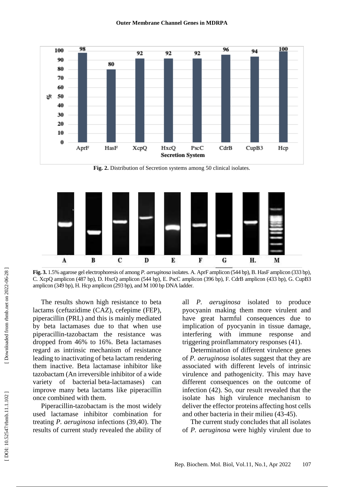

**Fig. 2.** Distribution of Secretion systems among 50 clinical isolates.



**Fig. 3.** 1.5% agarose gel electrophoresis of among *P. aeruginosa* isolates. A. AprF amplicon (544 bp), B. HasF amplicon (333 bp), C. XcpQ amplicon (487 bp), D. HxcQ amplicon (544 bp), E. PscC amplicon (396 bp), F. CdrB amplicon (433 bp), G. CupB3 amplicon (349 bp), H. Hcp amplicon (293 bp), and M 100 bp DNA ladder.

The results shown high resistance to beta lactams (ceftazidime (CAZ), cefepime (FEP), piperacillin (PRL) and this is mainly mediated by beta lactamases due to that when use piperacillin -tazobactam the resistance was dropped from 46% to 16%. Beta lactamases regard as intrinsic mechanism of resistance leading to inactivating of beta lactam rendering them inactive. Beta lactamase inhibitor like tazobactam (An irreversible inhibitor of a wide variety of bacterial beta -lactamases) can improve many beta lactams like piperacillin once combined with them.

Piperacillin -tazobactam is the most widely used lactamase inhibitor combination for treating *P. aeruginosa* infections (39,40). The results of current study revealed the ability of

all *P. aeruginosa* isolated to produce pyocyanin making them more virulent and have great harmful consequences due to implication of pyocyanin in tissue damage, interfering with immune response and triggering proinflammatory responses (41).

Determination of different virulence genes of *P. aeruginosa* isolates suggest that they are associated with different levels of intrinsic virulence and pathogenicity. This may have different consequences on the outcome of infection (42). So, our result revealed that the isolate has high virulence mechanism to deliver the effector proteins affecting host cells and other bacteria in their milieu (43 -45).

The current study concludes that all isolates of *P. aeruginosa* were highly virulent due to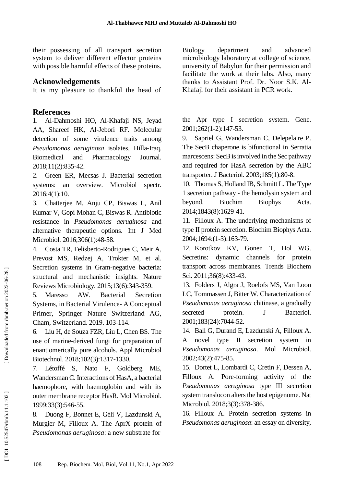their possessing of all transport secretion system to deliver different effector proteins with possible harmful effects of these proteins.

### **Acknowledgements**

It is my pleasure to thankful the head of

# **References**

1. Al-Dahmoshi HO, Al -Khafaji NS, Jeyad AA, Shareef HK, Al -Jebori RF. Molecular detection of some virulence traits among *Pseudomonas aeruginosa* isolates, Hilla -Iraq. Biomedical and Pharmacology Journal. 2018;11(2):835 -42.

2 . Green ER, Mecsas J. Bacterial secretion systems: an overview. Microbiol spectr.

2016;4(1):10. 3. Chatterjee M, Anju CP, Biswas L, Anil Kumar V, Gopi Mohan C, Biswas R. Antibiotic resistance in *Pseudomonas aeruginosa* and alternative therapeutic options. Int J Med Microbiol. 2016;306(1):48 -58.

4 . Costa TR, Felisberto -Rodrigues C, Meir A, Prevost MS, Redzej A, Trokter M, et al. Secretion systems in Gram -negative bacteria: structural and mechanistic insights. Nature Reviews Microbiology. 2015;13(6):343 - 359.

5 . Maresso AW. Bacterial Secretion Systems, in Bacterial Virulence - A Conceptual Primer, Springer Nature Switzerland AG, Cham, Switzerland. 2019. 103 -114.

6 . Liu H, de Souza FZR, Liu L, Chen BS. The use of marine -derived fungi for preparation of enantiomerically pure alcohols. Appl Microbiol Biotechnol. 2018;102(3):1317 -1330.

7. . Létoffé S, Nato F, Goldberg ME, Wandersman C. Interactions of HasA, a bacterial haemophore, with haemoglobin and with its outer membrane receptor HasR. Mol Microbiol. 1999;33(3):546 -55.

8 . Duong F, Bonnet E, Géli V, Lazdunski A, Murgier M, Filloux A. The AprX protein of *Pseudomonas aeruginosa*: a new substrate for

Biology department and advanced microbiology laboratory at college of science, university of Babylon for their permission and facilitate the work at their labs. Also, many thanks to Assistant Prof. Dr. Noor S.K. Al - Khafaji for their assistant in PCR work.

the Apr type I secretion system. Gene. 2001;262(1 -2):147 -53.

9. . Sapriel G, Wandersman C, Delepelaire P. The SecB chaperone is bifunctional in Serratia marcescens: SecB is involved in the Sec pathway and required for HasA secretion by the ABC transporter. J Bacteriol. 2003;185(1):80 -8.

10 . Thomas S, Holland IB, Schmitt L. The Type 1 secretion pathway - the hemolysin system and beyond. Biochim Biophys Acta. 2014;1843(8):1629 -41.

11 . Filloux A. The underlying mechanisms of type II protein secretion. Biochim Biophys Acta . 2004 ;1694:( 1 -3):163 -79.

12 . Korotkov KV, Gonen T, Hol WG. Secretins: dynamic channels for protein transport across membranes. Trends Biochem Sci. 2011;36(8):433 -43.

13 . Folders J, Algra J, Roelofs MS, Van Loon LC, Tommassen J, Bitter W. Characterization of *Pseudomonas aeruginosa* chitinase, a gradually secreted protein. J Bacteriol. 2001;183(24):7044 -52.

14 . Ball G, Durand E, Lazdunski A, Filloux A. A novel type II secretion system in *Pseudomonas aeruginosa*. Mol Microbiol. 2002;43(2):475 -85.

15 . Dortet L, Lombardi C, Cretin F, Dessen A, Filloux A. Pore -forming activity of the *Pseudomonas aeruginosa* type III secretion system translocon alters the host epigenome. Nat Microbiol. 2018;3(3):378-386.

16 . Filloux A. Protein secretion systems in *Pseudomonas aeruginosa*: an essay on diversity,

Downloaded from rbmb.net on 2022-06-28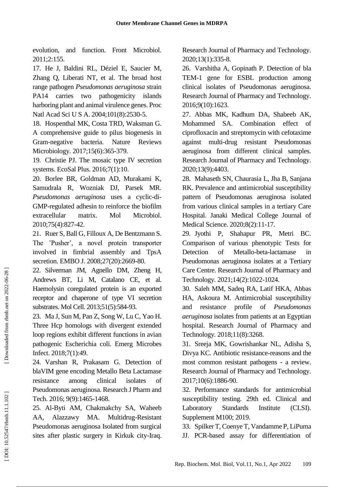evolution, and function. Front Microbiol. 2011;2:155.

17 . He J, Baldini RL, Déziel E, Saucier M, Zhang Q, Liberati NT, et al. The broad host range pathogen *Pseudomonas aeruginosa* strain PA14 carries two pathogenicity islands harboring plant and animal virulence genes. Proc Natl Acad Sci U S A. 2004;101(8):2530 -5.

18 . Hospenthal MK, Costa TRD, Waksman G. A comprehensive guide to pilus biogenesis in Gram -negative bacteria. Nature Reviews Microbiology. 2017;15(6):365 - 379.

19 . Christie PJ. The mosaic type IV secretion systems. EcoSal Plus. 2016;7(1):10 .

20 . Borlee BR, Goldman AD, Murakami K, Samudrala R, Wozniak DJ, Parsek MR. *Pseudomonas aeruginosa* uses a cyclic -di - GMP -regulated adhesin to reinforce the biofilm extracellular matrix. Mol Microbiol. 2010;75(4):827 -42.

21 . Ruer S, Ball G, Filloux A, De Bentzmann S. The 'Pusher', a novel protein transporter involved in fimbrial assembly and TpsA secretion. EMBO J. 2008;27(20):2669 -80.

22 . Silverman JM, Agnello DM, Zheng H, Andrews BT, Li M, Catalano CE, et al. Haemolysin coregulated protein is an exported receptor and chaperone of type VI secretion substrates. Mol Cell. 2013;51(5):584 -93.

23 . Ma J, Sun M, Pan Z, Song W, Lu C, Yao H. Three Hcp homologs with divergent extended loop regions exhibit different functions in avian pathogenic Escherichia coli. Emerg Microbes Infect. 2018;7(1):49.

24 . Varshan R, Prakasam G. Detection of blaVIM gene encoding Metallo Beta Lactamase resistance among clinical isolates of Pseudomonas aeruginosa. Research J Pharm and Tech . 2016; 9(9):1465 -1468.

25 . Al -Byti AM, Chakmakchy SA, Waheeb AA, Alazzawy MA. Multidrug -Resistant Pseudomonas aeruginosa Isolated from surgical sites after plastic surgery in Kirkuk city -Iraq. Research Journal of Pharmacy and Technology. 2020;13(1):335 -8.

26 . Varshitha A, Gopinath P. Detection of bla TEM -1 gene for ESBL production among clinical isolates of Pseudomonas aeruginosa. Research Journal of Pharmacy and Technology. 2016;9(10):1623.

27 . Abbas MK, Kadhum DA, Shabeeb AK, Mohammed SA. Combination effect of ciprofloxacin and streptomycin with cefotaxime against multi -drug resistant Pseudomonas aeruginosa from different clinical samples. Research Journal of Pharmacy and Technology. 2020;13(9):4403.

28 . Mahaseth SN, Chaurasia L, Jha B, Sanjana RK. Prevalence and antimicrobial susceptibility pattern of Pseudomonas aeruginosa isolated from various clinical samples in a tertiary Care Hospital. Janaki Medical College Journal of Medical Science. 2020;8(2):11 - 17.

29 . Jyothi P, Shahapur PR, Metri BC. Comparison of various phenotypic Tests for Detection of -beta -lactamase in Pseudomonas aeruginosa isolates at a Tertiary Care Centre. Research Journal of Pharmacy and Technology. 2021;14(2):1022 -1024.

30 . Saleh MM, Sadeq RA, Latif HKA, Abbas HA, Askoura M. Antimicrobial susceptibility and resistance profile of *Pseudomonas aeruginosa* isolates from patients at an Egyptian hospital. Research Journal of Pharmacy and Technology. 2018;11(8):3268.

31 . Sreeja MK, Gowrishankar NL, Adisha S, Divya KC. Antibiotic resistance -reasons and the most common resistant pathogens - a review. Research Journal of Pharmacy and Technology. 2017;10(6):1886 -90.

32 . Performance standards for antimicrobial susceptibility testing. 29th ed . Clinical and Laboratory Standards Institute (CLSI). Supplement M100; 2019.

33 . Spilker T, Coenye T, Vandamme P, LiPuma JJ. PCR -based assay for differentiation of